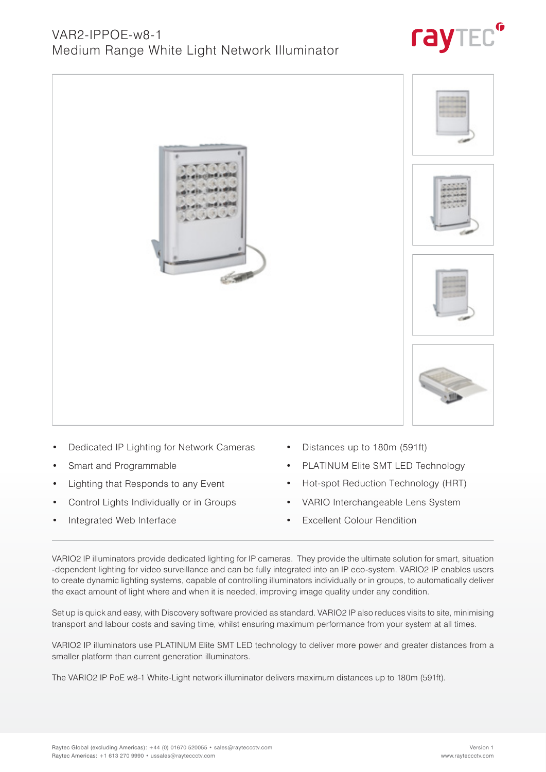• Distances up to 180m (591ft)

- - PLATINUM Elite SMT LED Technology
	- Hot-spot Reduction Technology (HRT)
	- VARIO Interchangeable Lens System
	- Excellent Colour Rendition

VARIO2 IP illuminators provide dedicated lighting for IP cameras. They provide the ultimate solution for smart, situation -dependent lighting for video surveillance and can be fully integrated into an IP eco-system. VARIO2 IP enables users to create dynamic lighting systems, capable of controlling illuminators individually or in groups, to automatically deliver the exact amount of light where and when it is needed, improving image quality under any condition.

Set up is quick and easy, with Discovery software provided as standard. VARIO2 IP also reduces visits to site, minimising transport and labour costs and saving time, whilst ensuring maximum performance from your system at all times.

VARIO2 IP illuminators use PLATINUM Elite SMT LED technology to deliver more power and greater distances from a smaller platform than current generation illuminators.

The VARIO2 IP PoE w8-1 White-Light network illuminator delivers maximum distances up to 180m (591ft).

- - Dedicated IP Lighting for Network Cameras
	- Smart and Programmable
	- Lighting that Responds to any Event
	- Control Lights Individually or in Groups
	- Integrated Web Interface







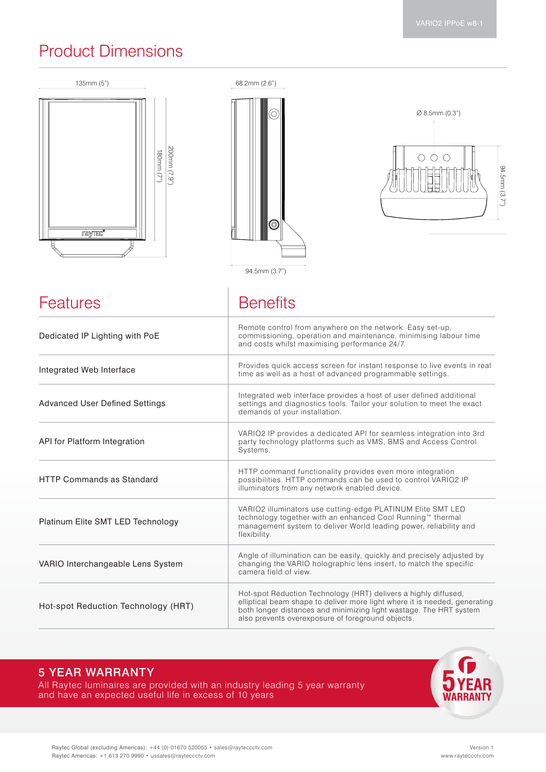## Product Dimensions

| 135mm (5")                                                     | 68.2mm (2.6")                                                                                                                                                                                                                                                            |
|----------------------------------------------------------------|--------------------------------------------------------------------------------------------------------------------------------------------------------------------------------------------------------------------------------------------------------------------------|
| $(7.9)$ mm002<br>$(180$ mm $(7)$<br><b>raytec</b> <sup>o</sup> | $\varnothing$ 8.5mm (0.3")<br>O)<br>$\bigcirc$<br>∩<br>∩<br>94.5mm (3.7")<br>(O)<br>94.5mm (3.7")                                                                                                                                                                        |
| Features                                                       | <b>Benefits</b>                                                                                                                                                                                                                                                          |
| Dedicated IP Lighting with PoE                                 | Remote control from anywhere on the network. Easy set-up,<br>commissioning, operation and maintenance, minimising labour time<br>and costs whilst maximising performance 24/7.                                                                                           |
| Integrated Web Interface                                       | Provides quick access screen for instant response to live events in real<br>time as well as a host of advanced programmable settings.                                                                                                                                    |
| <b>Advanced User Defined Settings</b>                          | Integrated web interface provides a host of user defined additional<br>settings and diagnostics tools. Tailor your solution to meet the exact<br>demands of your installation.                                                                                           |
| API for Platform Integration                                   | VARIO2 IP provides a dedicated API for seamless integration into 3rd<br>party technology platforms such as VMS, BMS and Access Control<br>Systems.                                                                                                                       |
| <b>HTTP Commands as Standard</b>                               | HTTP command functionality provides even more integration<br>possibilities. HTTP commands can be used to control VARIO2 IP<br>illuminators from any network enabled device.                                                                                              |
| Platinum Elite SMT LED Technology                              | VARIO2 illuminators use cutting-edge PLATINUM Elite SMT LED<br>technology together with an enhanced Cool Running™ thermal<br>management system to deliver World leading power, reliability and<br>flexibility.                                                           |
| VARIO Interchangeable Lens System                              | Angle of illumination can be easily, quickly and precisely adjusted by<br>changing the VARIO holographic lens insert, to match the specific<br>camera field of view.                                                                                                     |
| Hot-spot Reduction Technology (HRT)                            | Hot-spot Reduction Technology (HRT) delivers a highly diffused,<br>elliptical beam shape to deliver more light where it is needed, generating<br>both longer distances and minimizing light wastage. The HRT system<br>also prevents overexposure of foreground objects. |

### 5 YEAR WARRANTY

All Raytec luminaires are provided with an industry leading 5 year warranty and have an expected useful life in excess of 10 years